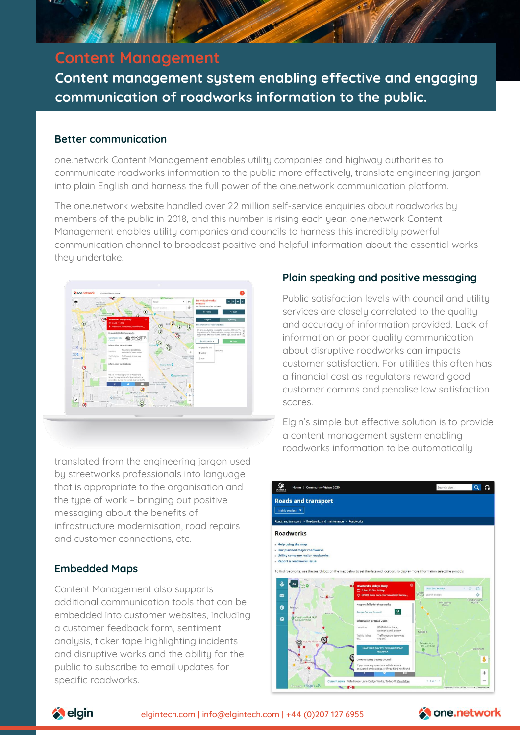

# **Content Management**

**Content management system enabling effective and engaging communication of roadworks information to the public.**

### **Better communication**

one.network Content Management enables utility companies and highway authorities to communicate roadworks information to the public more effectively, translate engineering jargon into plain English and harness the full power of the one.network communication platform.

The one.network website handled over 22 million self-service enquiries about roadworks by members of the public in 2018, and this number is rising each year. one.network Content Management enables utility companies and councils to harness this incredibly powerful communication channel to broadcast positive and helpful information about the essential works they undertake.



translated from the engineering jargon used by streetworks professionals into language that is appropriate to the organisation and the type of work – bringing out positive messaging about the benefits of infrastructure modernisation, road repairs and customer connections, etc.

# **Embedded Maps**

Content Management also supports additional communication tools that can be embedded into customer websites, including a customer feedback form, sentiment analysis, ticker tape highlighting incidents and disruptive works and the ability for the public to subscribe to email updates for specific roadworks.

## **Plain speaking and positive messaging**

Public satisfaction levels with council and utility services are closely correlated to the quality and accuracy of information provided. Lack of information or poor quality communication about disruptive roadworks can impacts customer satisfaction. For utilities this often has a financial cost as regulators reward good customer comms and penalise low satisfaction scores.

Elgin's simple but effective solution is to provide a content management system enabling roadworks information to be automatically





elgintech.com | [info@elgintech.com](mailto:info@elgintech.com) | +44 (0)207 127 6955